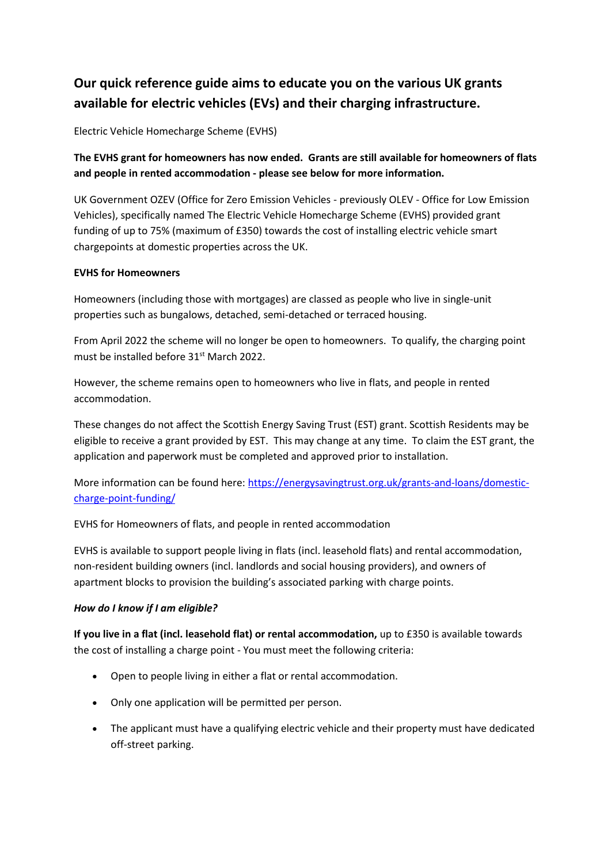## **Our quick reference guide aims to educate you on the various UK grants available for electric vehicles (EVs) and their charging infrastructure.**

Electric Vehicle Homecharge Scheme (EVHS)

**The EVHS grant for homeowners has now ended. Grants are still available for homeowners of flats and people in rented accommodation - please see below for more information.**

UK Government OZEV (Office for Zero Emission Vehicles - previously OLEV - Office for Low Emission Vehicles), specifically named The Electric Vehicle Homecharge Scheme (EVHS) provided grant funding of up to 75% (maximum of £350) towards the cost of installing electric vehicle smart chargepoints at domestic properties across the UK.

## **EVHS for Homeowners**

Homeowners (including those with mortgages) are classed as people who live in single-unit properties such as bungalows, detached, semi-detached or terraced housing.

From April 2022 the scheme will no longer be open to homeowners. To qualify, the charging point must be installed before 31st March 2022.

However, the scheme remains open to homeowners who live in flats, and people in rented accommodation.

These changes do not affect the Scottish Energy Saving Trust (EST) grant. Scottish Residents may be eligible to receive a grant provided by EST. This may change at any time. To claim the EST grant, the application and paperwork must be completed and approved prior to installation.

More information can be found here: [https://energysavingtrust.org.uk/grants-and-loans/domestic](https://energysavingtrust.org.uk/grants-and-loans/domestic-charge-point-funding/)[charge-point-funding/](https://energysavingtrust.org.uk/grants-and-loans/domestic-charge-point-funding/)

EVHS for Homeowners of flats, and people in rented accommodation

EVHS is available to support people living in flats (incl. leasehold flats) and rental accommodation, non-resident building owners (incl. landlords and social housing providers), and owners of apartment blocks to provision the building's associated parking with charge points.

## *How do I know if I am eligible?*

**If you live in a flat (incl. leasehold flat) or rental accommodation,** up to £350 is available towards the cost of installing a charge point - You must meet the following criteria:

- Open to people living in either a flat or rental accommodation.
- Only one application will be permitted per person.
- The applicant must have a qualifying electric vehicle and their property must have dedicated off-street parking.